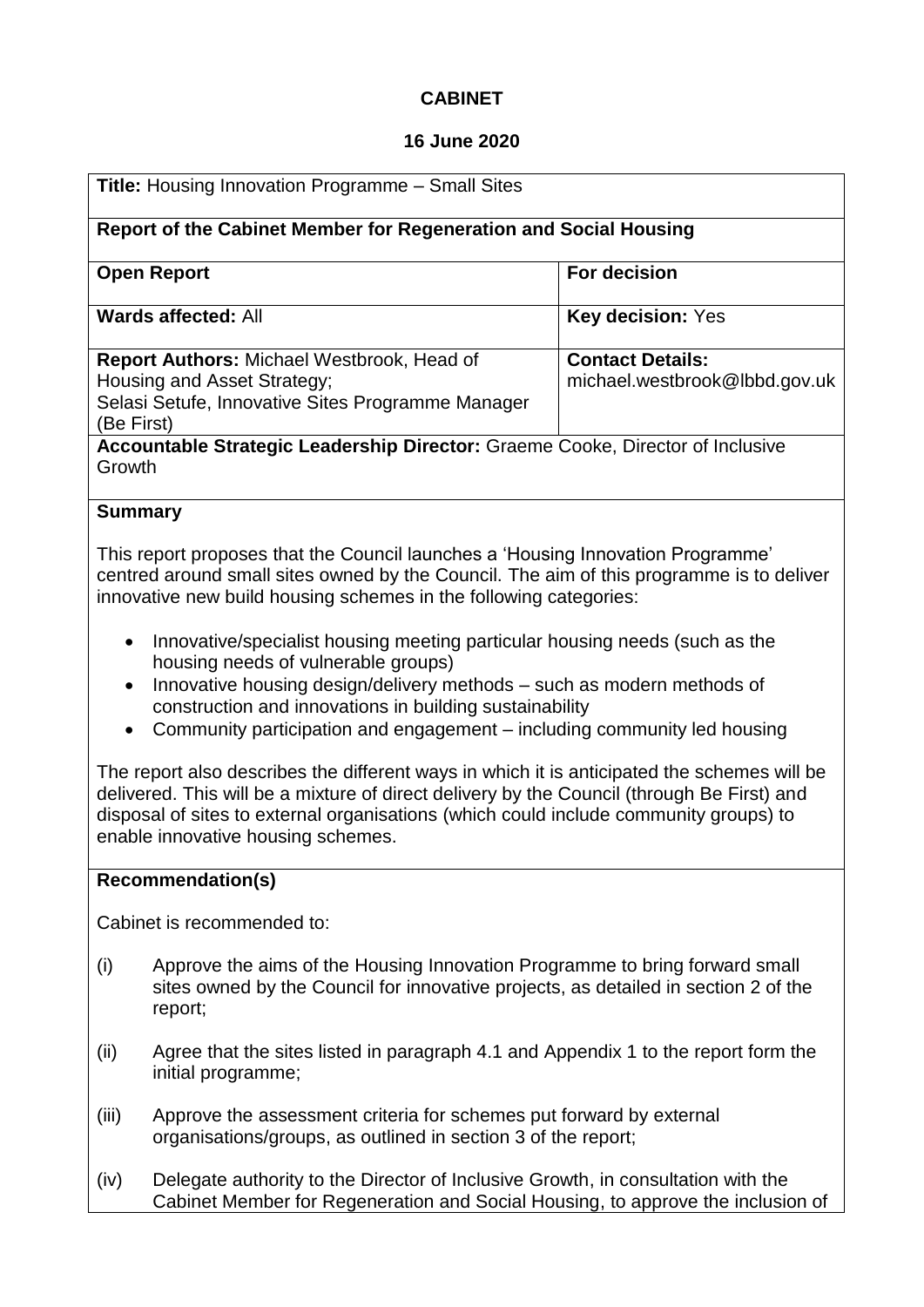# **CABINET**

## **16 June 2020**

| <b>Title: Housing Innovation Programme - Small Sites</b>                                                                                                                                                                                                                                                                 |                                                                                                                                                                               |                                                          |  |  |  |
|--------------------------------------------------------------------------------------------------------------------------------------------------------------------------------------------------------------------------------------------------------------------------------------------------------------------------|-------------------------------------------------------------------------------------------------------------------------------------------------------------------------------|----------------------------------------------------------|--|--|--|
| Report of the Cabinet Member for Regeneration and Social Housing                                                                                                                                                                                                                                                         |                                                                                                                                                                               |                                                          |  |  |  |
| <b>Open Report</b>                                                                                                                                                                                                                                                                                                       |                                                                                                                                                                               | <b>For decision</b>                                      |  |  |  |
| <b>Wards affected: All</b>                                                                                                                                                                                                                                                                                               |                                                                                                                                                                               | Key decision: Yes                                        |  |  |  |
| Report Authors: Michael Westbrook, Head of<br>Housing and Asset Strategy;<br>Selasi Setufe, Innovative Sites Programme Manager<br>(Be First)                                                                                                                                                                             |                                                                                                                                                                               | <b>Contact Details:</b><br>michael.westbrook@lbbd.gov.uk |  |  |  |
| Accountable Strategic Leadership Director: Graeme Cooke, Director of Inclusive<br>Growth                                                                                                                                                                                                                                 |                                                                                                                                                                               |                                                          |  |  |  |
| <b>Summary</b>                                                                                                                                                                                                                                                                                                           |                                                                                                                                                                               |                                                          |  |  |  |
| This report proposes that the Council launches a 'Housing Innovation Programme'<br>centred around small sites owned by the Council. The aim of this programme is to deliver<br>innovative new build housing schemes in the following categories:                                                                         |                                                                                                                                                                               |                                                          |  |  |  |
| $\bullet$                                                                                                                                                                                                                                                                                                                | Innovative/specialist housing meeting particular housing needs (such as the<br>housing needs of vulnerable groups)                                                            |                                                          |  |  |  |
| Innovative housing design/delivery methods - such as modern methods of<br>$\bullet$<br>construction and innovations in building sustainability<br>Community participation and engagement - including community led housing<br>$\bullet$                                                                                  |                                                                                                                                                                               |                                                          |  |  |  |
| The report also describes the different ways in which it is anticipated the schemes will be<br>delivered. This will be a mixture of direct delivery by the Council (through Be First) and<br>disposal of sites to external organisations (which could include community groups) to<br>enable innovative housing schemes. |                                                                                                                                                                               |                                                          |  |  |  |
| <b>Recommendation(s)</b>                                                                                                                                                                                                                                                                                                 |                                                                                                                                                                               |                                                          |  |  |  |
| Cabinet is recommended to:                                                                                                                                                                                                                                                                                               |                                                                                                                                                                               |                                                          |  |  |  |
| (i)                                                                                                                                                                                                                                                                                                                      | Approve the aims of the Housing Innovation Programme to bring forward small<br>sites owned by the Council for innovative projects, as detailed in section 2 of the<br>report; |                                                          |  |  |  |
| (ii)                                                                                                                                                                                                                                                                                                                     | Agree that the sites listed in paragraph 4.1 and Appendix 1 to the report form the<br>initial programme;                                                                      |                                                          |  |  |  |
| (iii)                                                                                                                                                                                                                                                                                                                    | Approve the assessment criteria for schemes put forward by external<br>organisations/groups, as outlined in section 3 of the report;                                          |                                                          |  |  |  |

(iv) Delegate authority to the Director of Inclusive Growth, in consultation with the Cabinet Member for Regeneration and Social Housing, to approve the inclusion of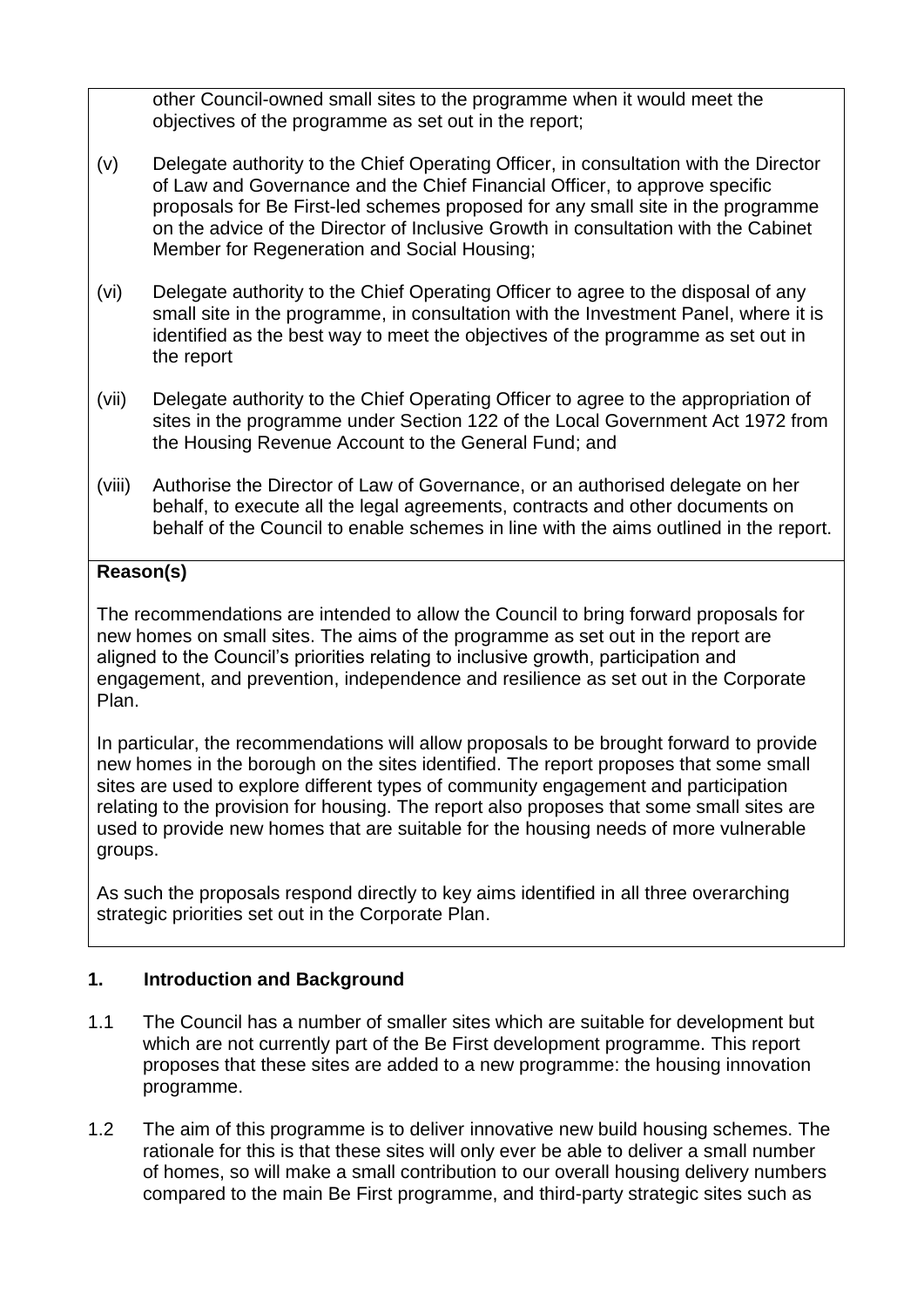other Council-owned small sites to the programme when it would meet the objectives of the programme as set out in the report;

- (v) Delegate authority to the Chief Operating Officer, in consultation with the Director of Law and Governance and the Chief Financial Officer, to approve specific proposals for Be First-led schemes proposed for any small site in the programme on the advice of the Director of Inclusive Growth in consultation with the Cabinet Member for Regeneration and Social Housing;
- (vi) Delegate authority to the Chief Operating Officer to agree to the disposal of any small site in the programme, in consultation with the Investment Panel, where it is identified as the best way to meet the objectives of the programme as set out in the report
- (vii) Delegate authority to the Chief Operating Officer to agree to the appropriation of sites in the programme under Section 122 of the Local Government Act 1972 from the Housing Revenue Account to the General Fund; and
- (viii) Authorise the Director of Law of Governance, or an authorised delegate on her behalf, to execute all the legal agreements, contracts and other documents on behalf of the Council to enable schemes in line with the aims outlined in the report.

# **Reason(s)**

The recommendations are intended to allow the Council to bring forward proposals for new homes on small sites. The aims of the programme as set out in the report are aligned to the Council's priorities relating to inclusive growth, participation and engagement, and prevention, independence and resilience as set out in the Corporate Plan.

In particular, the recommendations will allow proposals to be brought forward to provide new homes in the borough on the sites identified. The report proposes that some small sites are used to explore different types of community engagement and participation relating to the provision for housing. The report also proposes that some small sites are used to provide new homes that are suitable for the housing needs of more vulnerable groups.

As such the proposals respond directly to key aims identified in all three overarching strategic priorities set out in the Corporate Plan.

# **1. Introduction and Background**

- 1.1 The Council has a number of smaller sites which are suitable for development but which are not currently part of the Be First development programme. This report proposes that these sites are added to a new programme: the housing innovation programme.
- 1.2 The aim of this programme is to deliver innovative new build housing schemes. The rationale for this is that these sites will only ever be able to deliver a small number of homes, so will make a small contribution to our overall housing delivery numbers compared to the main Be First programme, and third-party strategic sites such as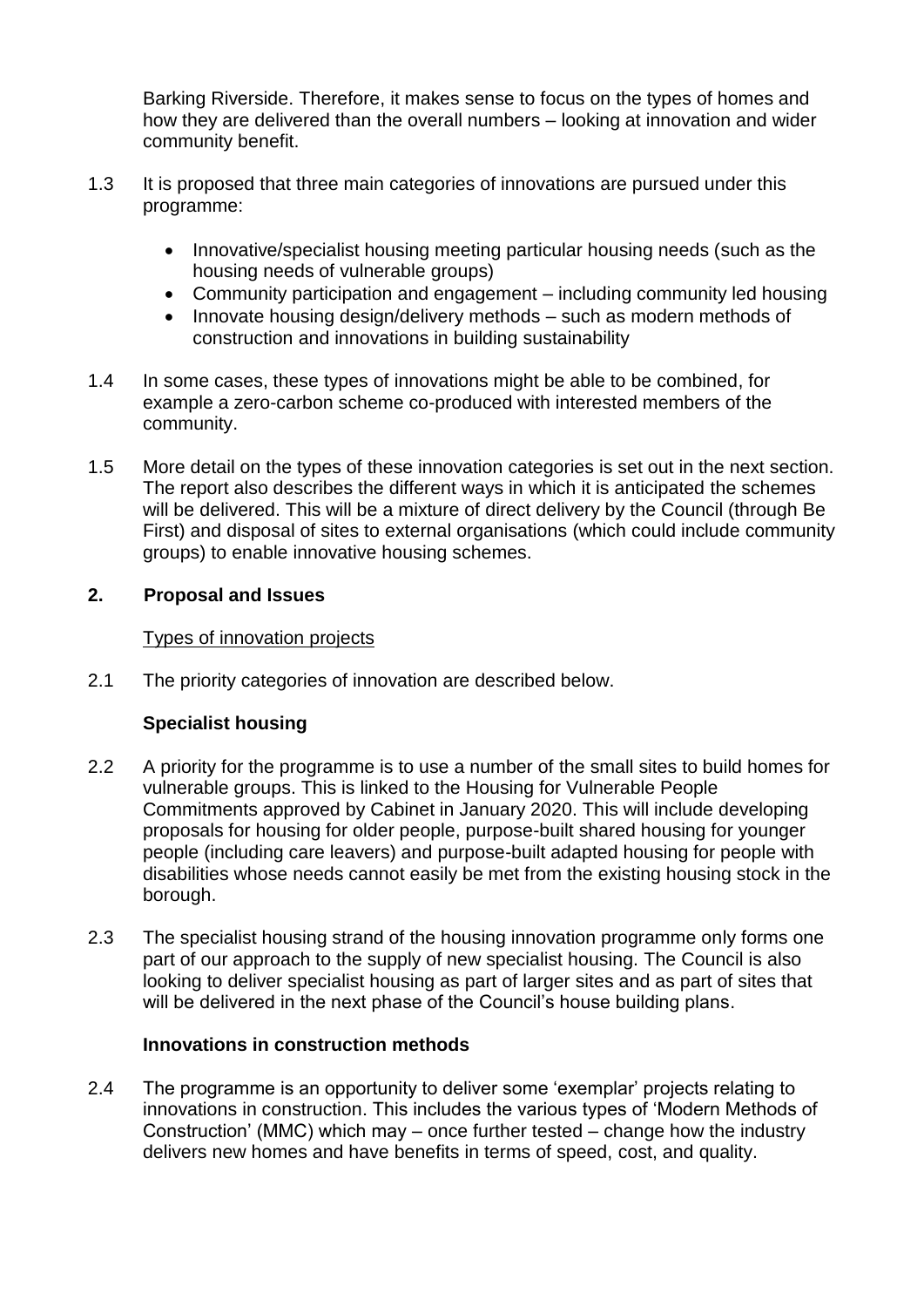Barking Riverside. Therefore, it makes sense to focus on the types of homes and how they are delivered than the overall numbers – looking at innovation and wider community benefit.

- 1.3 It is proposed that three main categories of innovations are pursued under this programme:
	- Innovative/specialist housing meeting particular housing needs (such as the housing needs of vulnerable groups)
	- Community participation and engagement including community led housing
	- Innovate housing design/delivery methods such as modern methods of construction and innovations in building sustainability
- 1.4 In some cases, these types of innovations might be able to be combined, for example a zero-carbon scheme co-produced with interested members of the community.
- 1.5 More detail on the types of these innovation categories is set out in the next section. The report also describes the different ways in which it is anticipated the schemes will be delivered. This will be a mixture of direct delivery by the Council (through Be First) and disposal of sites to external organisations (which could include community groups) to enable innovative housing schemes.

## **2. Proposal and Issues**

## Types of innovation projects

2.1 The priority categories of innovation are described below.

# **Specialist housing**

- 2.2 A priority for the programme is to use a number of the small sites to build homes for vulnerable groups. This is linked to the Housing for Vulnerable People Commitments approved by Cabinet in January 2020. This will include developing proposals for housing for older people, purpose-built shared housing for younger people (including care leavers) and purpose-built adapted housing for people with disabilities whose needs cannot easily be met from the existing housing stock in the borough.
- 2.3 The specialist housing strand of the housing innovation programme only forms one part of our approach to the supply of new specialist housing. The Council is also looking to deliver specialist housing as part of larger sites and as part of sites that will be delivered in the next phase of the Council's house building plans.

## **Innovations in construction methods**

2.4 The programme is an opportunity to deliver some 'exemplar' projects relating to innovations in construction. This includes the various types of 'Modern Methods of Construction' (MMC) which may – once further tested – change how the industry delivers new homes and have benefits in terms of speed, cost, and quality.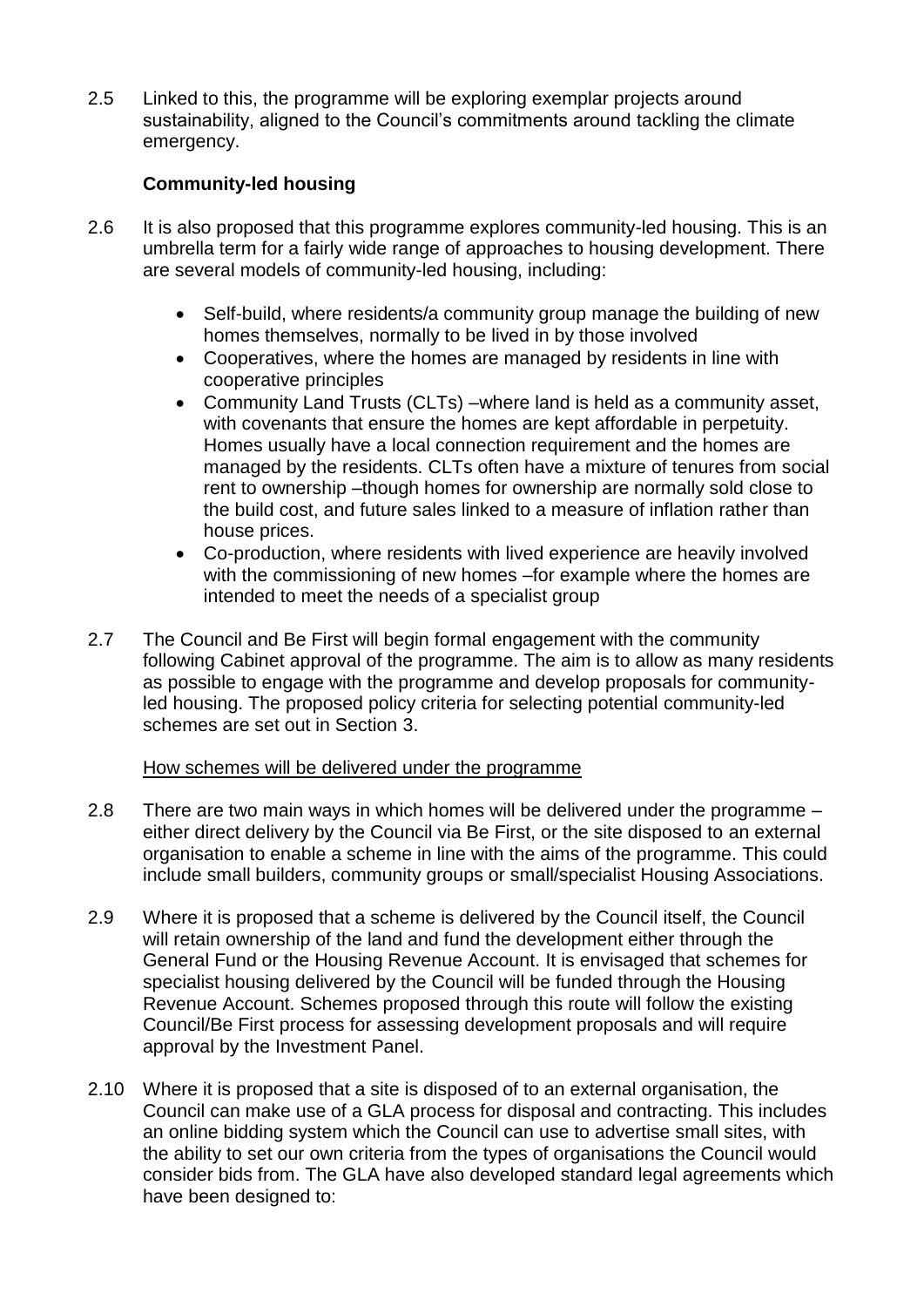2.5 Linked to this, the programme will be exploring exemplar projects around sustainability, aligned to the Council's commitments around tackling the climate emergency.

# **Community-led housing**

- 2.6 It is also proposed that this programme explores community-led housing. This is an umbrella term for a fairly wide range of approaches to housing development. There are several models of community-led housing, including:
	- Self-build, where residents/a community group manage the building of new homes themselves, normally to be lived in by those involved
	- Cooperatives, where the homes are managed by residents in line with cooperative principles
	- Community Land Trusts (CLTs) –where land is held as a community asset, with covenants that ensure the homes are kept affordable in perpetuity. Homes usually have a local connection requirement and the homes are managed by the residents. CLTs often have a mixture of tenures from social rent to ownership –though homes for ownership are normally sold close to the build cost, and future sales linked to a measure of inflation rather than house prices.
	- Co-production, where residents with lived experience are heavily involved with the commissioning of new homes –for example where the homes are intended to meet the needs of a specialist group
- 2.7 The Council and Be First will begin formal engagement with the community following Cabinet approval of the programme. The aim is to allow as many residents as possible to engage with the programme and develop proposals for communityled housing. The proposed policy criteria for selecting potential community-led schemes are set out in Section 3.

## How schemes will be delivered under the programme

- 2.8 There are two main ways in which homes will be delivered under the programme either direct delivery by the Council via Be First, or the site disposed to an external organisation to enable a scheme in line with the aims of the programme. This could include small builders, community groups or small/specialist Housing Associations.
- 2.9 Where it is proposed that a scheme is delivered by the Council itself, the Council will retain ownership of the land and fund the development either through the General Fund or the Housing Revenue Account. It is envisaged that schemes for specialist housing delivered by the Council will be funded through the Housing Revenue Account. Schemes proposed through this route will follow the existing Council/Be First process for assessing development proposals and will require approval by the Investment Panel.
- 2.10 Where it is proposed that a site is disposed of to an external organisation, the Council can make use of a GLA process for disposal and contracting. This includes an online bidding system which the Council can use to advertise small sites, with the ability to set our own criteria from the types of organisations the Council would consider bids from. The GLA have also developed standard legal agreements which have been designed to: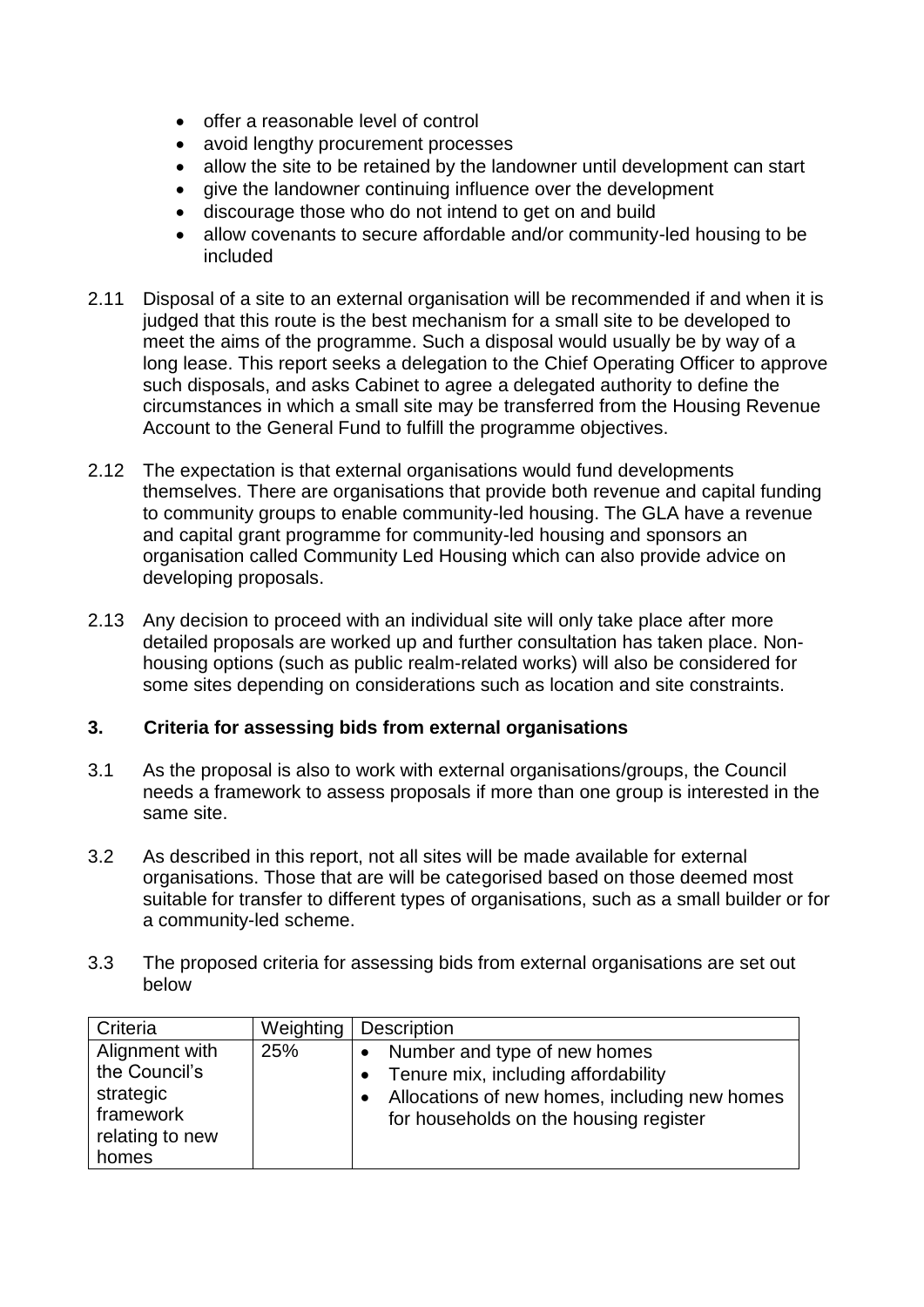- offer a reasonable level of control
- avoid lengthy procurement processes
- allow the site to be retained by the landowner until development can start
- give the landowner continuing influence over the development
- discourage those who do not intend to get on and build
- allow covenants to secure affordable and/or community-led housing to be included
- 2.11 Disposal of a site to an external organisation will be recommended if and when it is judged that this route is the best mechanism for a small site to be developed to meet the aims of the programme. Such a disposal would usually be by way of a long lease. This report seeks a delegation to the Chief Operating Officer to approve such disposals, and asks Cabinet to agree a delegated authority to define the circumstances in which a small site may be transferred from the Housing Revenue Account to the General Fund to fulfill the programme objectives.
- 2.12 The expectation is that external organisations would fund developments themselves. There are organisations that provide both revenue and capital funding to community groups to enable community-led housing. The GLA have a revenue and capital grant programme for community-led housing and sponsors an organisation called Community Led Housing which can also provide advice on developing proposals.
- 2.13 Any decision to proceed with an individual site will only take place after more detailed proposals are worked up and further consultation has taken place. Nonhousing options (such as public realm-related works) will also be considered for some sites depending on considerations such as location and site constraints.

# **3. Criteria for assessing bids from external organisations**

- 3.1 As the proposal is also to work with external organisations/groups, the Council needs a framework to assess proposals if more than one group is interested in the same site.
- 3.2 As described in this report, not all sites will be made available for external organisations. Those that are will be categorised based on those deemed most suitable for transfer to different types of organisations, such as a small builder or for a community-led scheme.
- 3.3 The proposed criteria for assessing bids from external organisations are set out below

| Criteria                                                                     | Weighting | <b>Description</b>                                                                                                                                             |
|------------------------------------------------------------------------------|-----------|----------------------------------------------------------------------------------------------------------------------------------------------------------------|
| Alignment with<br>the Council's<br>strategic<br>framework<br>relating to new | 25%       | Number and type of new homes<br>Tenure mix, including affordability<br>Allocations of new homes, including new homes<br>for households on the housing register |
| homes                                                                        |           |                                                                                                                                                                |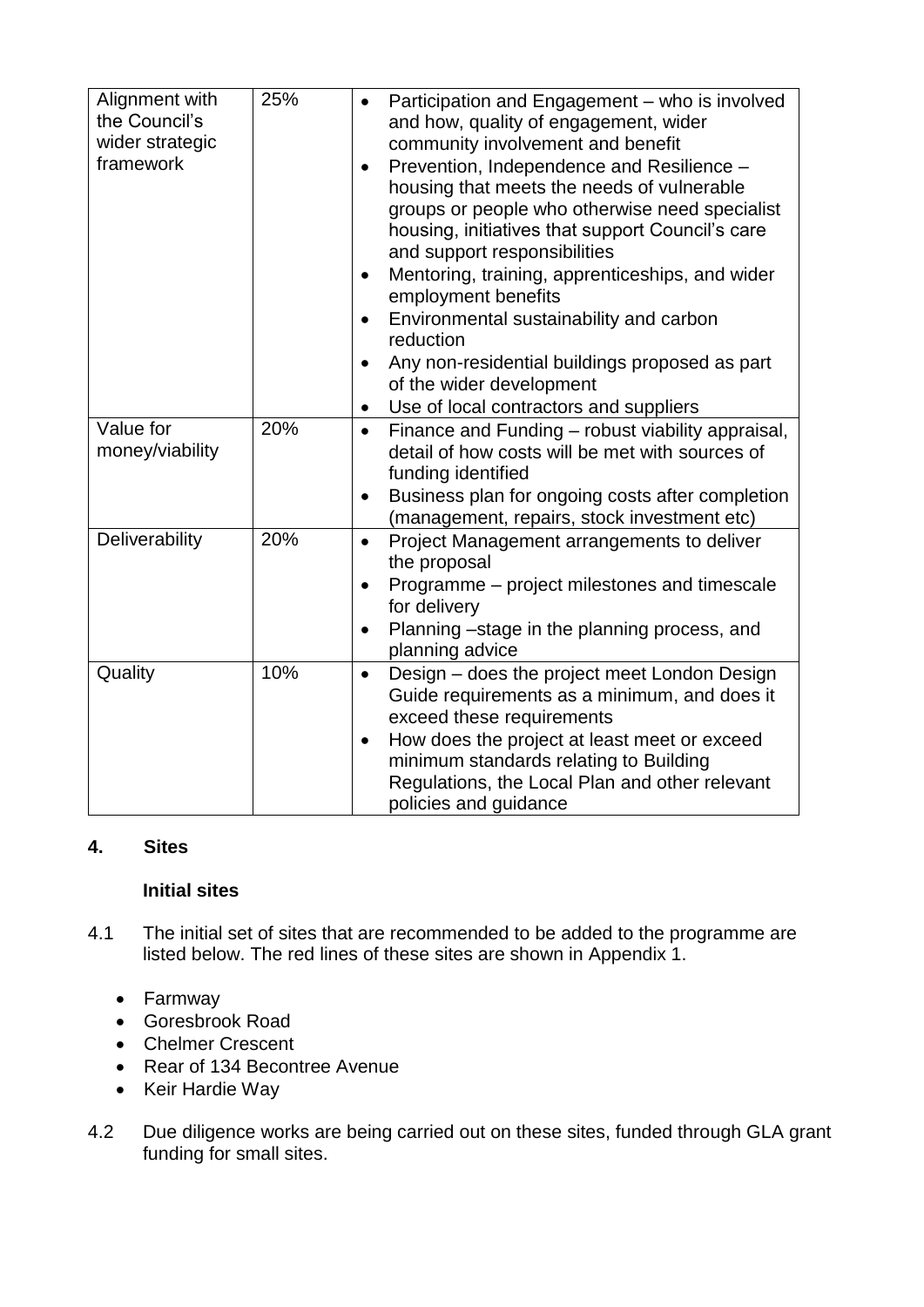| Alignment with<br>the Council's<br>wider strategic<br>framework | 25% | Participation and Engagement - who is involved<br>$\bullet$<br>and how, quality of engagement, wider<br>community involvement and benefit<br>Prevention, Independence and Resilience -<br>$\bullet$<br>housing that meets the needs of vulnerable<br>groups or people who otherwise need specialist<br>housing, initiatives that support Council's care<br>and support responsibilities<br>Mentoring, training, apprenticeships, and wider<br>$\bullet$<br>employment benefits<br>Environmental sustainability and carbon<br>$\bullet$<br>reduction<br>Any non-residential buildings proposed as part<br>$\bullet$<br>of the wider development<br>Use of local contractors and suppliers<br>$\bullet$ |
|-----------------------------------------------------------------|-----|-------------------------------------------------------------------------------------------------------------------------------------------------------------------------------------------------------------------------------------------------------------------------------------------------------------------------------------------------------------------------------------------------------------------------------------------------------------------------------------------------------------------------------------------------------------------------------------------------------------------------------------------------------------------------------------------------------|
| Value for<br>money/viability                                    | 20% | Finance and Funding - robust viability appraisal,<br>$\bullet$<br>detail of how costs will be met with sources of<br>funding identified                                                                                                                                                                                                                                                                                                                                                                                                                                                                                                                                                               |
|                                                                 |     | Business plan for ongoing costs after completion<br>٠<br>(management, repairs, stock investment etc)                                                                                                                                                                                                                                                                                                                                                                                                                                                                                                                                                                                                  |
| Deliverability                                                  | 20% | Project Management arrangements to deliver<br>$\bullet$<br>the proposal                                                                                                                                                                                                                                                                                                                                                                                                                                                                                                                                                                                                                               |
|                                                                 |     | Programme – project milestones and timescale<br>$\bullet$<br>for delivery                                                                                                                                                                                                                                                                                                                                                                                                                                                                                                                                                                                                                             |
|                                                                 |     | Planning -stage in the planning process, and<br>planning advice                                                                                                                                                                                                                                                                                                                                                                                                                                                                                                                                                                                                                                       |
| Quality                                                         | 10% | Design – does the project meet London Design<br>$\bullet$<br>Guide requirements as a minimum, and does it<br>exceed these requirements<br>How does the project at least meet or exceed<br>$\bullet$<br>minimum standards relating to Building<br>Regulations, the Local Plan and other relevant<br>policies and guidance                                                                                                                                                                                                                                                                                                                                                                              |

# **4. Sites**

# **Initial sites**

- 4.1 The initial set of sites that are recommended to be added to the programme are listed below. The red lines of these sites are shown in Appendix 1.
	- Farmway
	- Goresbrook Road
	- Chelmer Crescent
	- Rear of 134 Becontree Avenue
	- Keir Hardie Way
- 4.2 Due diligence works are being carried out on these sites, funded through GLA grant funding for small sites.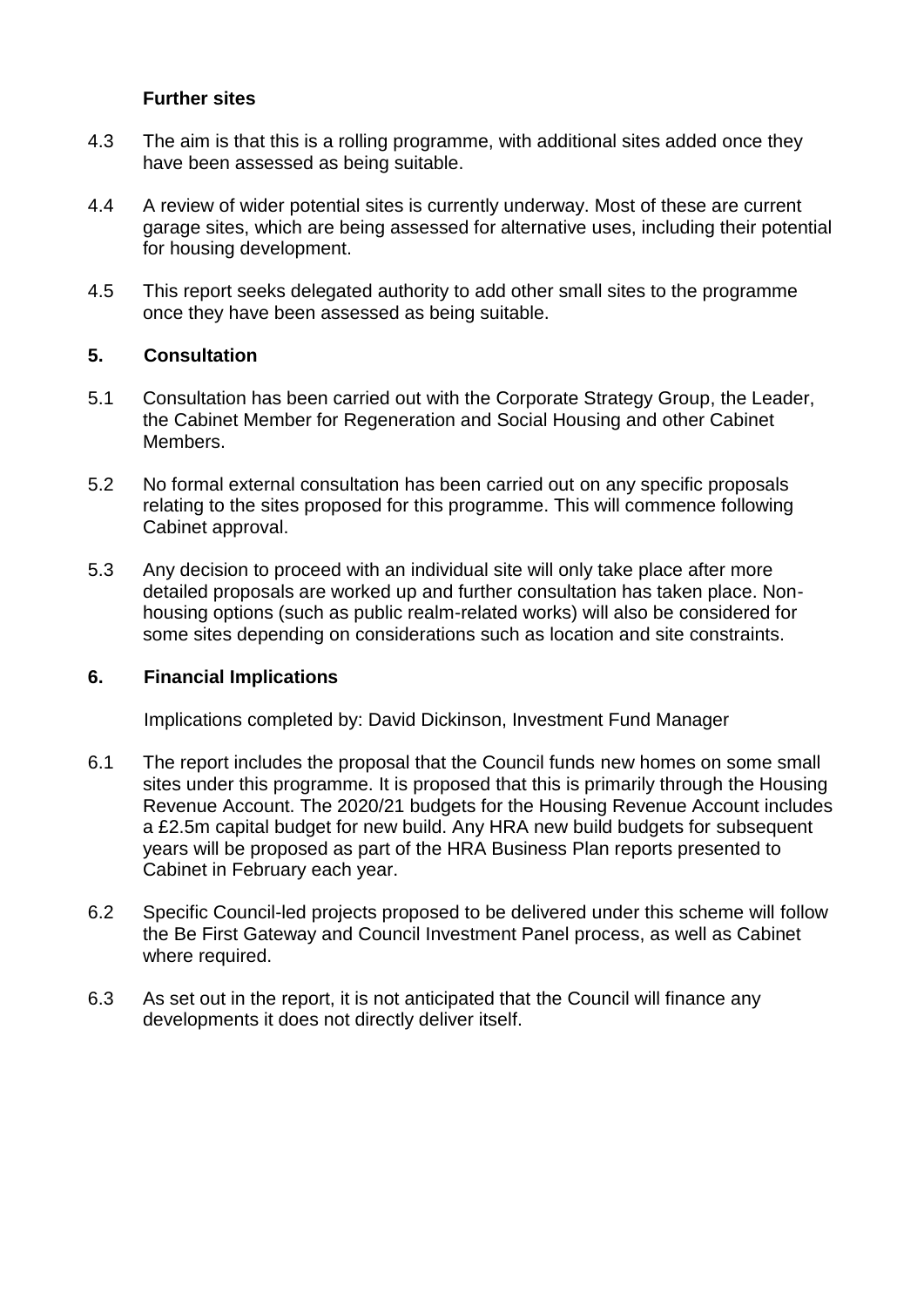## **Further sites**

- 4.3 The aim is that this is a rolling programme, with additional sites added once they have been assessed as being suitable.
- 4.4 A review of wider potential sites is currently underway. Most of these are current garage sites, which are being assessed for alternative uses, including their potential for housing development.
- 4.5 This report seeks delegated authority to add other small sites to the programme once they have been assessed as being suitable.

## **5. Consultation**

- 5.1 Consultation has been carried out with the Corporate Strategy Group, the Leader, the Cabinet Member for Regeneration and Social Housing and other Cabinet Members.
- 5.2 No formal external consultation has been carried out on any specific proposals relating to the sites proposed for this programme. This will commence following Cabinet approval.
- 5.3 Any decision to proceed with an individual site will only take place after more detailed proposals are worked up and further consultation has taken place. Nonhousing options (such as public realm-related works) will also be considered for some sites depending on considerations such as location and site constraints.

## **6. Financial Implications**

Implications completed by: David Dickinson, Investment Fund Manager

- 6.1 The report includes the proposal that the Council funds new homes on some small sites under this programme. It is proposed that this is primarily through the Housing Revenue Account. The 2020/21 budgets for the Housing Revenue Account includes a £2.5m capital budget for new build. Any HRA new build budgets for subsequent years will be proposed as part of the HRA Business Plan reports presented to Cabinet in February each year.
- 6.2 Specific Council-led projects proposed to be delivered under this scheme will follow the Be First Gateway and Council Investment Panel process, as well as Cabinet where required.
- 6.3 As set out in the report, it is not anticipated that the Council will finance any developments it does not directly deliver itself.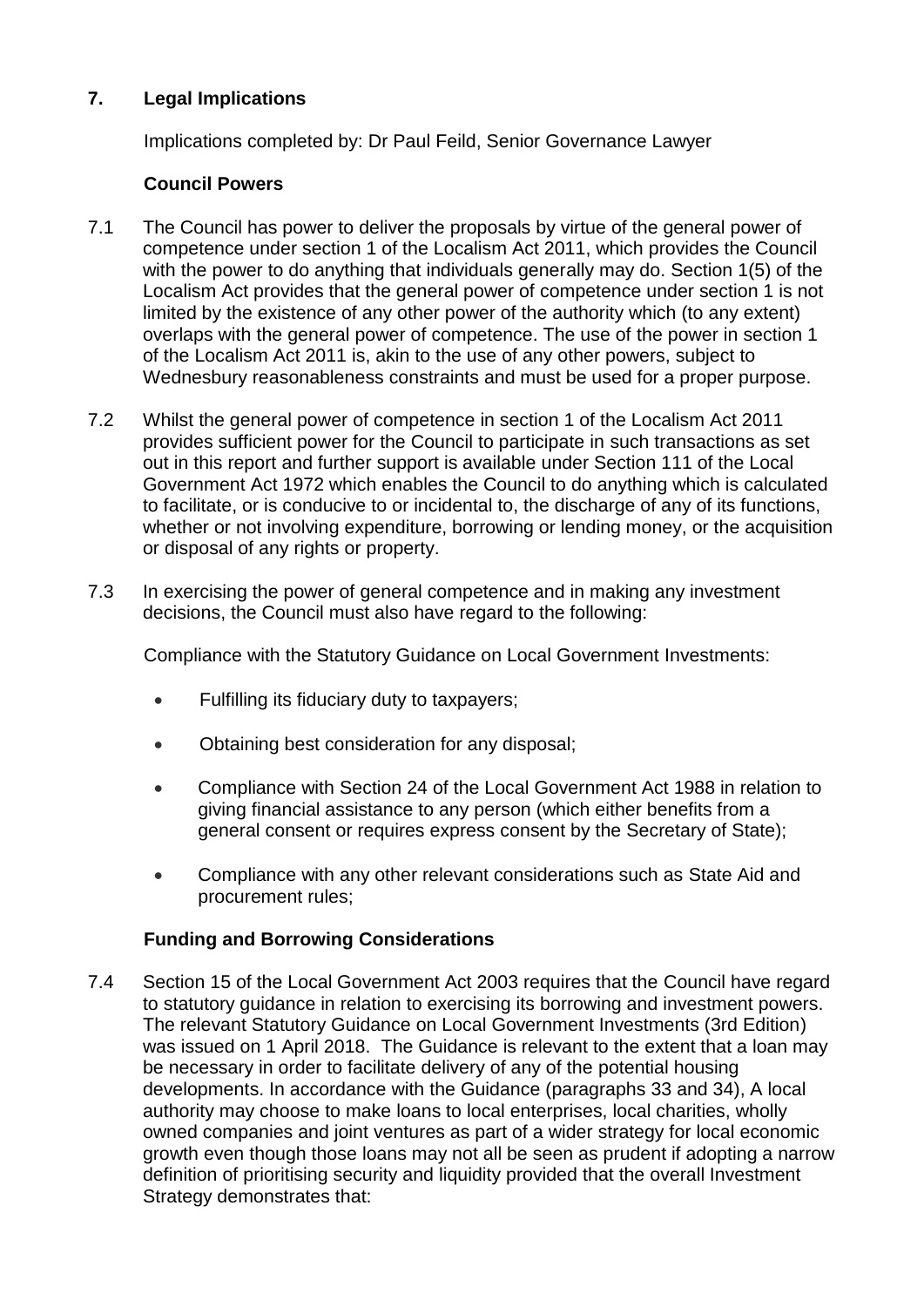# **7. Legal Implications**

Implications completed by: Dr Paul Feild, Senior Governance Lawyer

## **Council Powers**

- 7.1 The Council has power to deliver the proposals by virtue of the general power of competence under section 1 of the Localism Act 2011, which provides the Council with the power to do anything that individuals generally may do. Section 1(5) of the Localism Act provides that the general power of competence under section 1 is not limited by the existence of any other power of the authority which (to any extent) overlaps with the general power of competence. The use of the power in section 1 of the Localism Act 2011 is, akin to the use of any other powers, subject to Wednesbury reasonableness constraints and must be used for a proper purpose.
- 7.2 Whilst the general power of competence in section 1 of the Localism Act 2011 provides sufficient power for the Council to participate in such transactions as set out in this report and further support is available under Section 111 of the Local Government Act 1972 which enables the Council to do anything which is calculated to facilitate, or is conducive to or incidental to, the discharge of any of its functions, whether or not involving expenditure, borrowing or lending money, or the acquisition or disposal of any rights or property.
- 7.3 In exercising the power of general competence and in making any investment decisions, the Council must also have regard to the following:

Compliance with the Statutory Guidance on Local Government Investments:

- Fulfilling its fiduciary duty to taxpayers;
- Obtaining best consideration for any disposal;
- Compliance with Section 24 of the Local Government Act 1988 in relation to giving financial assistance to any person (which either benefits from a general consent or requires express consent by the Secretary of State);
- Compliance with any other relevant considerations such as State Aid and procurement rules;

## **Funding and Borrowing Considerations**

7.4 Section 15 of the Local Government Act 2003 requires that the Council have regard to statutory guidance in relation to exercising its borrowing and investment powers. The relevant Statutory Guidance on Local Government Investments (3rd Edition) was issued on 1 April 2018. The Guidance is relevant to the extent that a loan may be necessary in order to facilitate delivery of any of the potential housing developments. In accordance with the Guidance (paragraphs 33 and 34), A local authority may choose to make loans to local enterprises, local charities, wholly owned companies and joint ventures as part of a wider strategy for local economic growth even though those loans may not all be seen as prudent if adopting a narrow definition of prioritising security and liquidity provided that the overall Investment Strategy demonstrates that: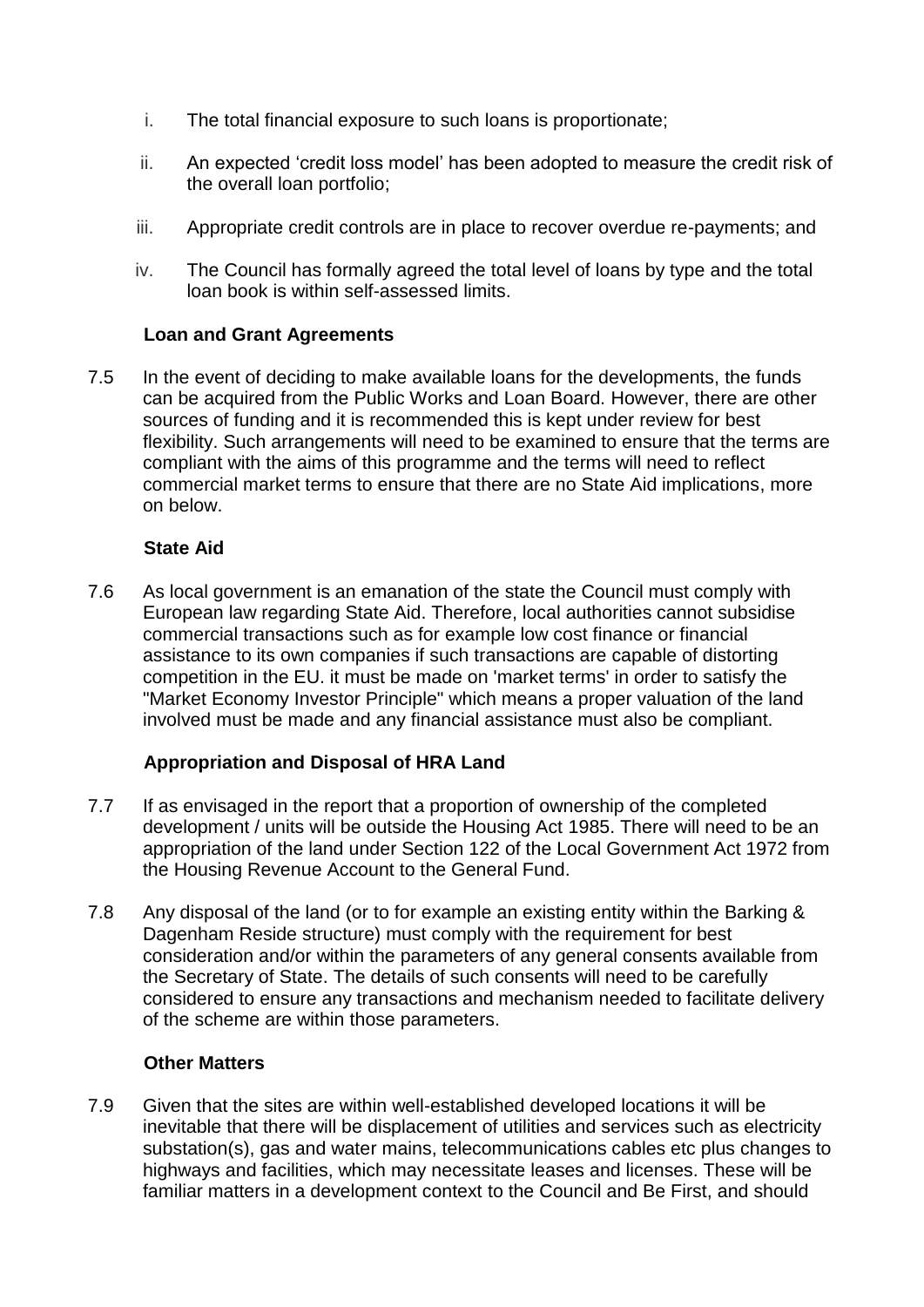- i. The total financial exposure to such loans is proportionate;
- ii. An expected 'credit loss model' has been adopted to measure the credit risk of the overall loan portfolio;
- iii. Appropriate credit controls are in place to recover overdue re-payments; and
- iv. The Council has formally agreed the total level of loans by type and the total loan book is within self-assessed limits.

## **Loan and Grant Agreements**

7.5 In the event of deciding to make available loans for the developments, the funds can be acquired from the Public Works and Loan Board. However, there are other sources of funding and it is recommended this is kept under review for best flexibility. Such arrangements will need to be examined to ensure that the terms are compliant with the aims of this programme and the terms will need to reflect commercial market terms to ensure that there are no State Aid implications, more on below.

## **State Aid**

7.6 As local government is an emanation of the state the Council must comply with European law regarding State Aid. Therefore, local authorities cannot subsidise commercial transactions such as for example low cost finance or financial assistance to its own companies if such transactions are capable of distorting competition in the EU. it must be made on 'market terms' in order to satisfy the "Market Economy Investor Principle" which means a proper valuation of the land involved must be made and any financial assistance must also be compliant.

# **Appropriation and Disposal of HRA Land**

- 7.7 If as envisaged in the report that a proportion of ownership of the completed development / units will be outside the Housing Act 1985. There will need to be an appropriation of the land under Section 122 of the Local Government Act 1972 from the Housing Revenue Account to the General Fund.
- 7.8 Any disposal of the land (or to for example an existing entity within the Barking & Dagenham Reside structure) must comply with the requirement for best consideration and/or within the parameters of any general consents available from the Secretary of State. The details of such consents will need to be carefully considered to ensure any transactions and mechanism needed to facilitate delivery of the scheme are within those parameters.

## **Other Matters**

7.9 Given that the sites are within well-established developed locations it will be inevitable that there will be displacement of utilities and services such as electricity substation(s), gas and water mains, telecommunications cables etc plus changes to highways and facilities, which may necessitate leases and licenses. These will be familiar matters in a development context to the Council and Be First, and should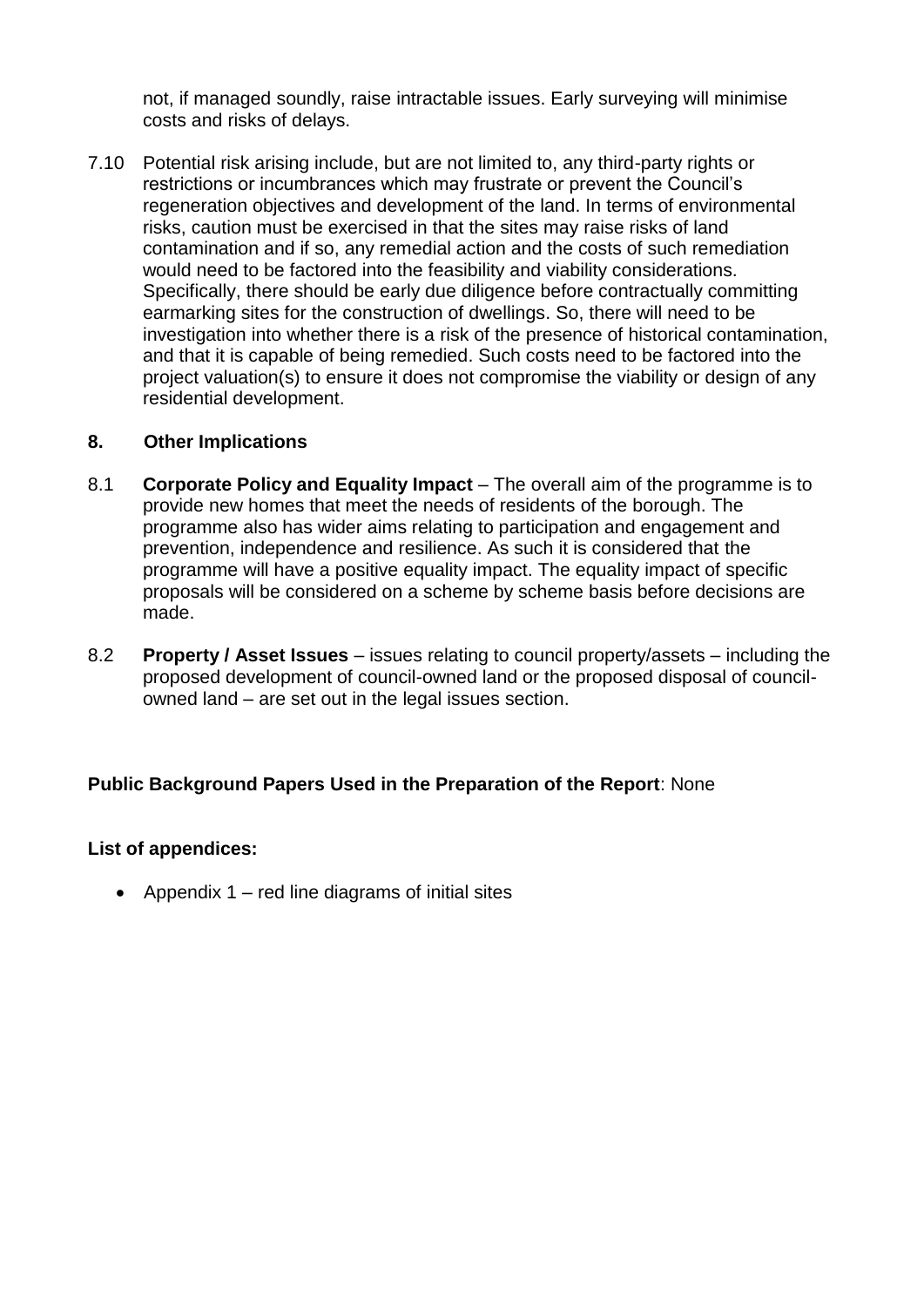not, if managed soundly, raise intractable issues. Early surveying will minimise costs and risks of delays.

7.10 Potential risk arising include, but are not limited to, any third-party rights or restrictions or incumbrances which may frustrate or prevent the Council's regeneration objectives and development of the land. In terms of environmental risks, caution must be exercised in that the sites may raise risks of land contamination and if so, any remedial action and the costs of such remediation would need to be factored into the feasibility and viability considerations. Specifically, there should be early due diligence before contractually committing earmarking sites for the construction of dwellings. So, there will need to be investigation into whether there is a risk of the presence of historical contamination, and that it is capable of being remedied. Such costs need to be factored into the project valuation(s) to ensure it does not compromise the viability or design of any residential development.

# **8. Other Implications**

- 8.1 **Corporate Policy and Equality Impact** The overall aim of the programme is to provide new homes that meet the needs of residents of the borough. The programme also has wider aims relating to participation and engagement and prevention, independence and resilience. As such it is considered that the programme will have a positive equality impact. The equality impact of specific proposals will be considered on a scheme by scheme basis before decisions are made.
- 8.2 **Property / Asset Issues**  issues relating to council property/assets including the proposed development of council-owned land or the proposed disposal of councilowned land – are set out in the legal issues section.

# **Public Background Papers Used in the Preparation of the Report**: None

# **List of appendices:**

• Appendix  $1 - red$  line diagrams of initial sites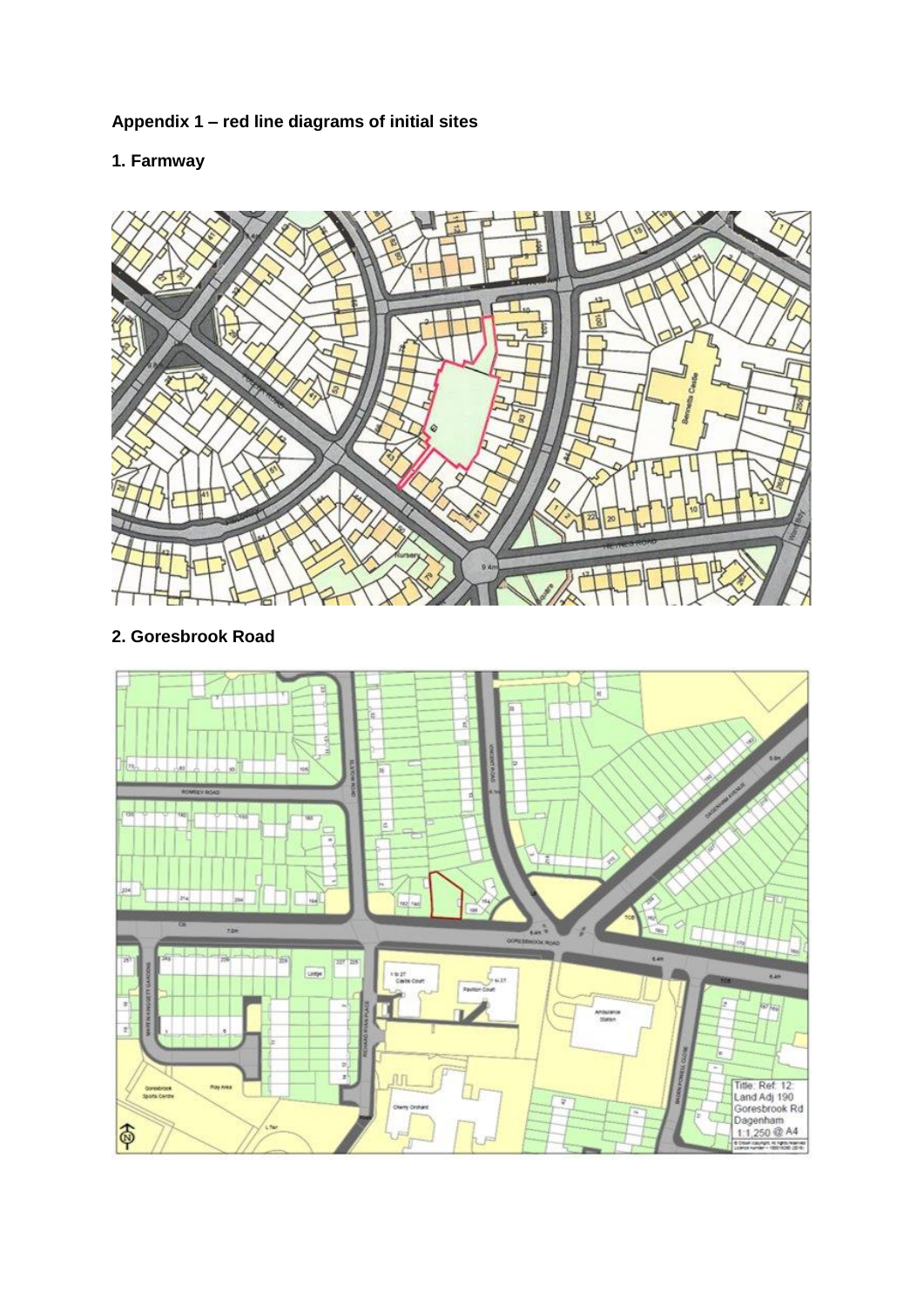# **Appendix 1 – red line diagrams of initial sites**

# **1. Farmway**



# **2. Goresbrook Road**

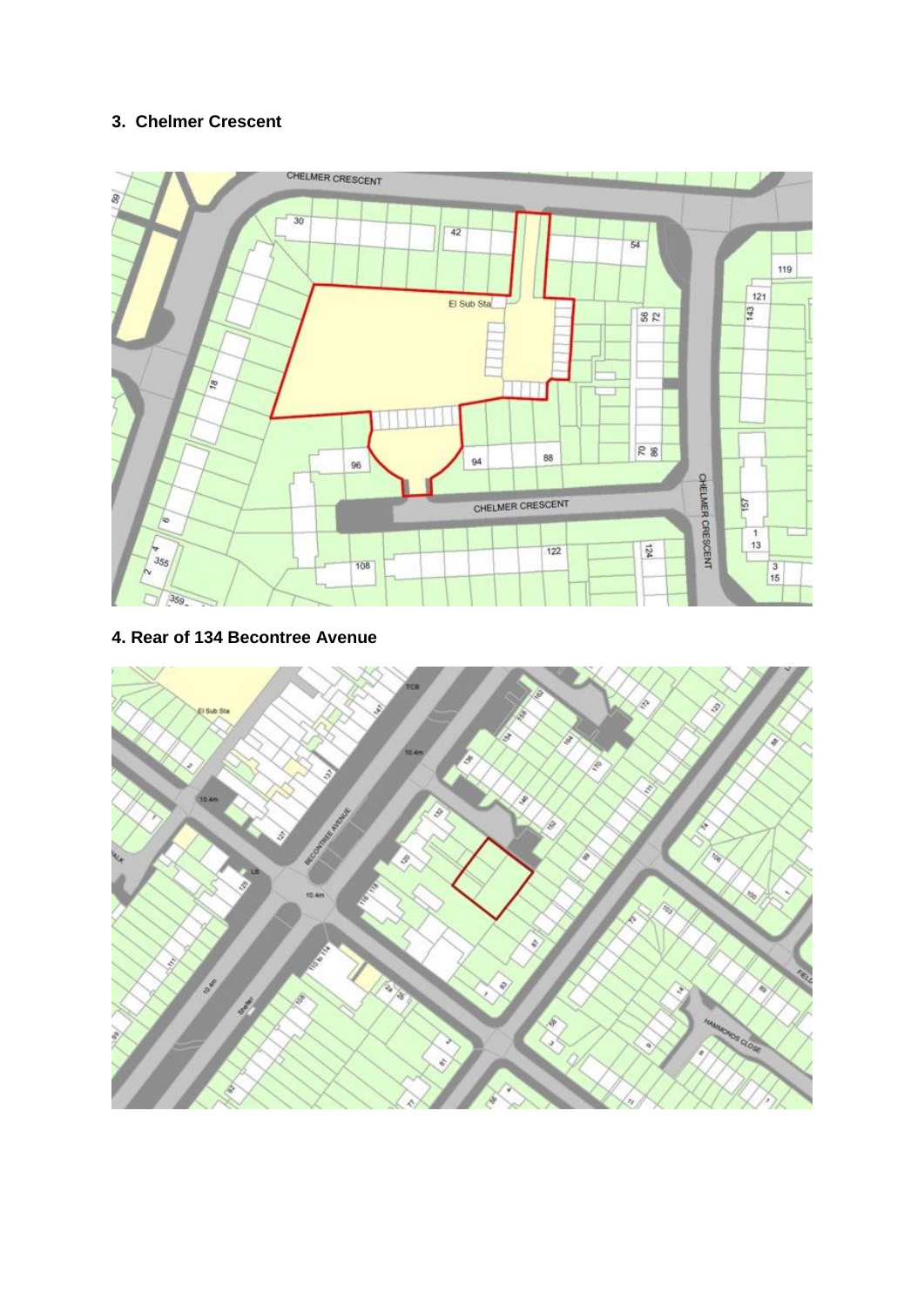## **3. Chelmer Crescent**



#### **4. Rear of 134 Becontree Avenue**